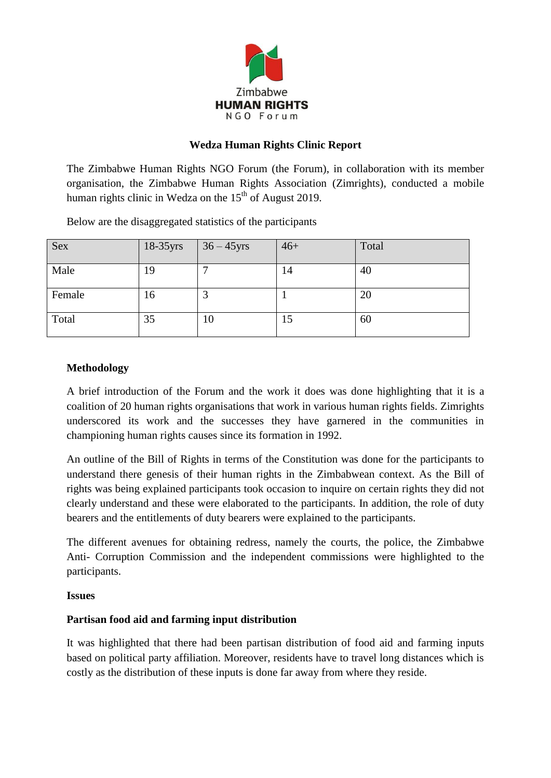

### **Wedza Human Rights Clinic Report**

The Zimbabwe Human Rights NGO Forum (the Forum), in collaboration with its member organisation, the Zimbabwe Human Rights Association (Zimrights), conducted a mobile human rights clinic in Wedza on the  $15<sup>th</sup>$  of August 2019.

Below are the disaggregated statistics of the participants

| <b>Sex</b> | $18-35$ yrs | $\vert$ 36 – 45 yrs | $46+$ | Total |
|------------|-------------|---------------------|-------|-------|
| Male       | 19          |                     | 14    | 40    |
| Female     | 16          |                     |       | 20    |
| Total      | 35          | 10                  | 15    | 60    |

## **Methodology**

A brief introduction of the Forum and the work it does was done highlighting that it is a coalition of 20 human rights organisations that work in various human rights fields. Zimrights underscored its work and the successes they have garnered in the communities in championing human rights causes since its formation in 1992.

An outline of the Bill of Rights in terms of the Constitution was done for the participants to understand there genesis of their human rights in the Zimbabwean context. As the Bill of rights was being explained participants took occasion to inquire on certain rights they did not clearly understand and these were elaborated to the participants. In addition, the role of duty bearers and the entitlements of duty bearers were explained to the participants.

The different avenues for obtaining redress, namely the courts, the police, the Zimbabwe Anti- Corruption Commission and the independent commissions were highlighted to the participants.

### **Issues**

## **Partisan food aid and farming input distribution**

It was highlighted that there had been partisan distribution of food aid and farming inputs based on political party affiliation. Moreover, residents have to travel long distances which is costly as the distribution of these inputs is done far away from where they reside.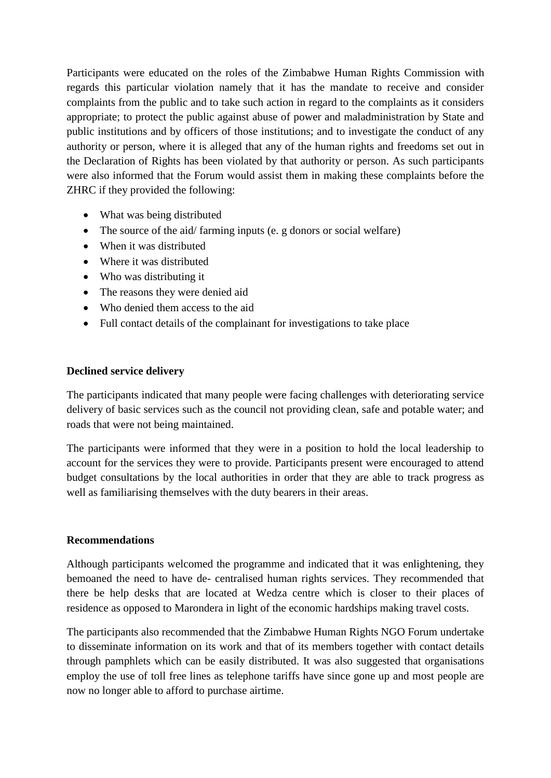Participants were educated on the roles of the Zimbabwe Human Rights Commission with regards this particular violation namely that it has the mandate to receive and consider complaints from the public and to take such action in regard to the complaints as it considers appropriate; to protect the public against abuse of power and maladministration by State and public institutions and by officers of those institutions; and to investigate the conduct of any authority or person, where it is alleged that any of the human rights and freedoms set out in the Declaration of Rights has been violated by that authority or person. As such participants were also informed that the Forum would assist them in making these complaints before the ZHRC if they provided the following:

- What was being distributed
- The source of the aid/ farming inputs (e. g donors or social welfare)
- When it was distributed
- Where it was distributed
- Who was distributing it
- The reasons they were denied aid
- Who denied them access to the aid
- Full contact details of the complainant for investigations to take place

#### **Declined service delivery**

The participants indicated that many people were facing challenges with deteriorating service delivery of basic services such as the council not providing clean, safe and potable water; and roads that were not being maintained.

The participants were informed that they were in a position to hold the local leadership to account for the services they were to provide. Participants present were encouraged to attend budget consultations by the local authorities in order that they are able to track progress as well as familiarising themselves with the duty bearers in their areas.

#### **Recommendations**

Although participants welcomed the programme and indicated that it was enlightening, they bemoaned the need to have de- centralised human rights services. They recommended that there be help desks that are located at Wedza centre which is closer to their places of residence as opposed to Marondera in light of the economic hardships making travel costs.

The participants also recommended that the Zimbabwe Human Rights NGO Forum undertake to disseminate information on its work and that of its members together with contact details through pamphlets which can be easily distributed. It was also suggested that organisations employ the use of toll free lines as telephone tariffs have since gone up and most people are now no longer able to afford to purchase airtime.